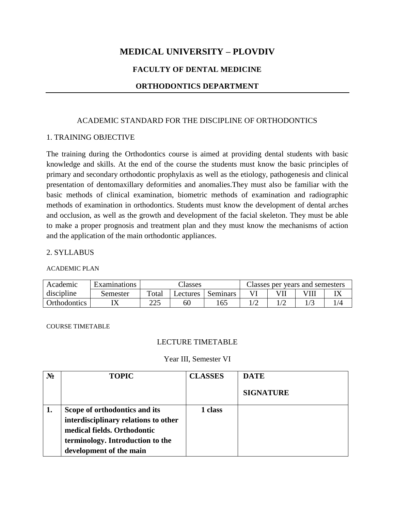# **MEDICAL UNIVERSITY – PLOVDIV**

### **FACULTY OF DENTAL MEDICINE**

### **ORTHODONTICS DEPARTMENT**

### ACADEMIC STANDARD FOR THE DISCIPLINE OF ORTHODONTICS

#### 1. TRAINING OBJECTIVE

The training during the Orthodontics course is aimed at providing dental students with basic knowledge and skills. At the end of the course the students must know the basic principles of primary and secondary orthodontic prophylaxis as well as the etiology, pathogenesis and clinical presentation of dentomaxillary deformities and anomalies.They must also be familiar with the basic methods of clinical examination, biometric methods of examination and radiographic methods of examination in orthodontics. Students must know the development of dental arches and occlusion, as well as the growth and development of the facial skeleton. They must be able to make a proper prognosis and treatment plan and they must know the mechanisms of action and the application of the main orthodontic appliances.

### 2. SYLLABUS

#### ACADEMIC PLAN

| Academic     | Examinations | Classes           |           |          | Classes per years and semesters |  |  |  |
|--------------|--------------|-------------------|-----------|----------|---------------------------------|--|--|--|
| discipline   | Semester     | $_{\text{Total}}$ | _ectures_ | Seminars |                                 |  |  |  |
| Orthodontics |              | つつく<br>ت کے ک     | 60        |          |                                 |  |  |  |

#### COURSE TIMETABLE

#### LECTURE TIMETABLE

#### Year III, Semester VI

| $N_2$ | <b>TOPIC</b>                         | <b>CLASSES</b> | <b>DATE</b>      |
|-------|--------------------------------------|----------------|------------------|
|       |                                      |                | <b>SIGNATURE</b> |
| 1.    | Scope of orthodontics and its        | 1 class        |                  |
|       | interdisciplinary relations to other |                |                  |
|       | medical fields. Orthodontic          |                |                  |
|       | terminology. Introduction to the     |                |                  |
|       | development of the main              |                |                  |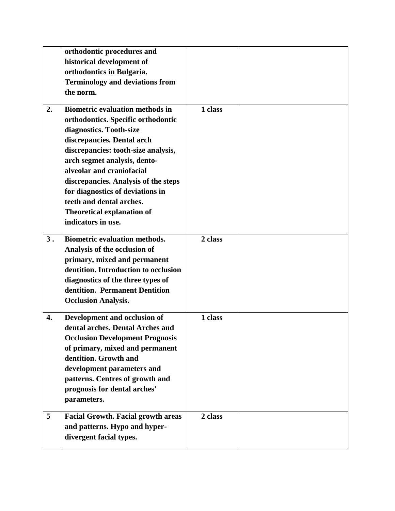|    | orthodontic procedures and                |         |  |
|----|-------------------------------------------|---------|--|
|    | historical development of                 |         |  |
|    | orthodontics in Bulgaria.                 |         |  |
|    | <b>Terminology and deviations from</b>    |         |  |
|    | the norm.                                 |         |  |
|    |                                           |         |  |
| 2. | <b>Biometric evaluation methods in</b>    | 1 class |  |
|    | orthodontics. Specific orthodontic        |         |  |
|    | diagnostics. Tooth-size                   |         |  |
|    | discrepancies. Dental arch                |         |  |
|    | discrepancies: tooth-size analysis,       |         |  |
|    | arch segmet analysis, dento-              |         |  |
|    | alveolar and craniofacial                 |         |  |
|    | discrepancies. Analysis of the steps      |         |  |
|    | for diagnostics of deviations in          |         |  |
|    | teeth and dental arches.                  |         |  |
|    | <b>Theoretical explanation of</b>         |         |  |
|    | indicators in use.                        |         |  |
| 3. | <b>Biometric evaluation methods.</b>      | 2 class |  |
|    | Analysis of the occlusion of              |         |  |
|    | primary, mixed and permanent              |         |  |
|    | dentition. Introduction to occlusion      |         |  |
|    | diagnostics of the three types of         |         |  |
|    | dentition. Permanent Dentition            |         |  |
|    | <b>Occlusion Analysis.</b>                |         |  |
|    |                                           |         |  |
| 4. | Development and occlusion of              | 1 class |  |
|    | dental arches. Dental Arches and          |         |  |
|    | <b>Occlusion Development Prognosis</b>    |         |  |
|    | of primary, mixed and permanent           |         |  |
|    | dentition. Growth and                     |         |  |
|    | development parameters and                |         |  |
|    | patterns. Centres of growth and           |         |  |
|    | prognosis for dental arches'              |         |  |
|    | parameters.                               |         |  |
| 5  | <b>Facial Growth. Facial growth areas</b> | 2 class |  |
|    | and patterns. Hypo and hyper-             |         |  |
|    | divergent facial types.                   |         |  |
|    |                                           |         |  |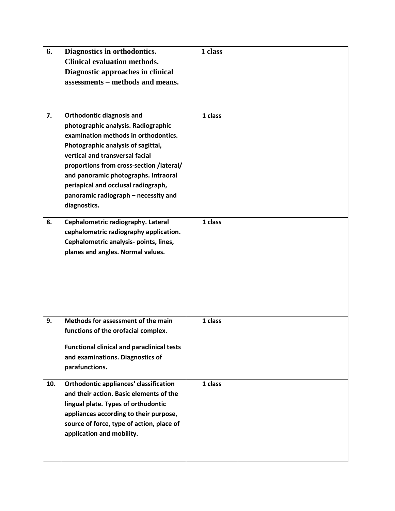| 6.  | Diagnostics in orthodontics.<br><b>Clinical evaluation methods.</b><br>Diagnostic approaches in clinical<br>assessments – methods and means.                                                                                                                                                                                                                                | 1 class |  |
|-----|-----------------------------------------------------------------------------------------------------------------------------------------------------------------------------------------------------------------------------------------------------------------------------------------------------------------------------------------------------------------------------|---------|--|
| 7.  | <b>Orthodontic diagnosis and</b><br>photographic analysis. Radiographic<br>examination methods in orthodontics.<br>Photographic analysis of sagittal,<br>vertical and transversal facial<br>proportions from cross-section /lateral/<br>and panoramic photographs. Intraoral<br>periapical and occlusal radiograph,<br>panoramic radiograph - necessity and<br>diagnostics. | 1 class |  |
| 8.  | Cephalometric radiography. Lateral<br>cephalometric radiography application.<br>Cephalometric analysis- points, lines,<br>planes and angles. Normal values.                                                                                                                                                                                                                 | 1 class |  |
| 9.  | Methods for assessment of the main<br>functions of the orofacial complex.<br><b>Functional clinical and paraclinical tests</b><br>and examinations. Diagnostics of<br>parafunctions.                                                                                                                                                                                        | 1 class |  |
| 10. | <b>Orthodontic appliances' classification</b><br>and their action. Basic elements of the<br>lingual plate. Types of orthodontic<br>appliances according to their purpose,<br>source of force, type of action, place of<br>application and mobility.                                                                                                                         | 1 class |  |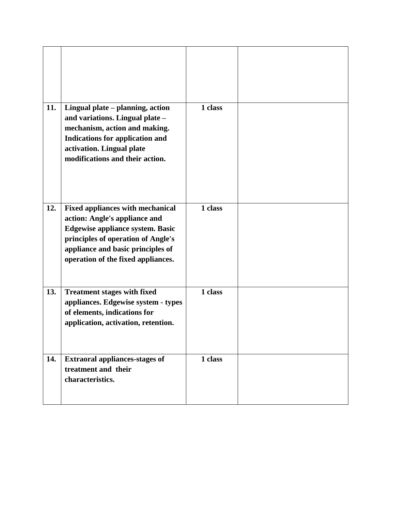| 11. | Lingual plate - planning, action<br>and variations. Lingual plate -<br>mechanism, action and making.                                                                                                                                 | 1 class |  |
|-----|--------------------------------------------------------------------------------------------------------------------------------------------------------------------------------------------------------------------------------------|---------|--|
|     | Indications for application and<br>activation. Lingual plate<br>modifications and their action.                                                                                                                                      |         |  |
| 12. | <b>Fixed appliances with mechanical</b><br>action: Angle's appliance and<br><b>Edgewise appliance system. Basic</b><br>principles of operation of Angle's<br>appliance and basic principles of<br>operation of the fixed appliances. | 1 class |  |
| 13. | <b>Treatment stages with fixed</b><br>appliances. Edgewise system - types<br>of elements, indications for<br>application, activation, retention.                                                                                     | 1 class |  |
| 14. | <b>Extraoral appliances-stages of</b><br>treatment and their<br>characteristics.                                                                                                                                                     | 1 class |  |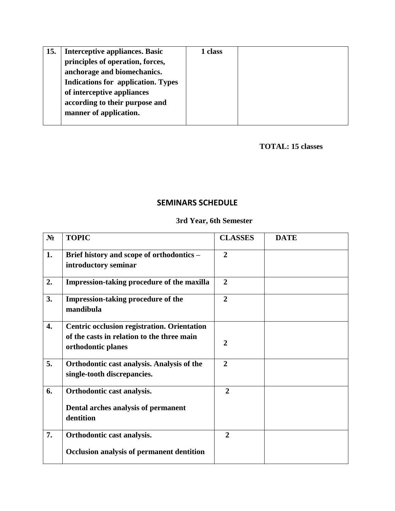| 15. | <b>Interceptive appliances. Basic</b>     | 1 class |  |
|-----|-------------------------------------------|---------|--|
|     | principles of operation, forces,          |         |  |
|     | anchorage and biomechanics.               |         |  |
|     | <b>Indications for application. Types</b> |         |  |
|     | of interceptive appliances                |         |  |
|     | according to their purpose and            |         |  |
|     | manner of application.                    |         |  |
|     |                                           |         |  |

 **TOTAL: 15 classes**

## **SEMINARS SCHEDULE**

### **3rd Year, 6th Semester**

| $N_2$ | <b>TOPIC</b>                                                                                                           | <b>CLASSES</b> | <b>DATE</b> |
|-------|------------------------------------------------------------------------------------------------------------------------|----------------|-------------|
| 1.    | Brief history and scope of orthodontics -<br>introductory seminar                                                      | $\overline{2}$ |             |
| 2.    | Impression-taking procedure of the maxilla                                                                             | $\overline{2}$ |             |
| 3.    | Impression-taking procedure of the<br>mandibula                                                                        | $\overline{2}$ |             |
| 4.    | <b>Centric occlusion registration. Orientation</b><br>of the casts in relation to the three main<br>orthodontic planes | $\overline{2}$ |             |
| 5.    | Orthodontic cast analysis. Analysis of the<br>single-tooth discrepancies.                                              | $\overline{2}$ |             |
| 6.    | Orthodontic cast analysis.<br>Dental arches analysis of permanent<br>dentition                                         | $\overline{2}$ |             |
| 7.    | Orthodontic cast analysis.<br><b>Occlusion analysis of permanent dentition</b>                                         | $\overline{2}$ |             |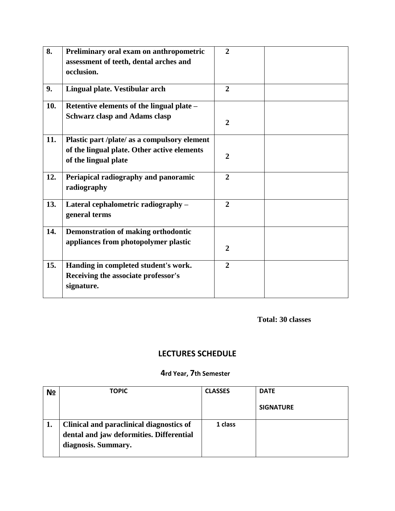| 8.  | Preliminary oral exam on anthropometric<br>assessment of teeth, dental arches and<br>occlusion.                     | $\overline{2}$ |  |
|-----|---------------------------------------------------------------------------------------------------------------------|----------------|--|
| 9.  | Lingual plate. Vestibular arch                                                                                      | $\overline{2}$ |  |
| 10. | Retentive elements of the lingual plate –<br><b>Schwarz clasp and Adams clasp</b>                                   | $\overline{2}$ |  |
| 11. | Plastic part /plate/ as a compulsory element<br>of the lingual plate. Other active elements<br>of the lingual plate | $\overline{2}$ |  |
| 12. | Periapical radiography and panoramic<br>radiography                                                                 | $\overline{2}$ |  |
| 13. | Lateral cephalometric radiography -<br>general terms                                                                | $\overline{2}$ |  |
| 14. | <b>Demonstration of making orthodontic</b><br>appliances from photopolymer plastic                                  | $\mathbf{2}$   |  |
| 15. | Handing in completed student's work.<br>Receiving the associate professor's<br>signature.                           | $\overline{2}$ |  |

# **LECTURES SCHEDULE**

# **4rd Year, 7th Semester**

| N <sub>2</sub> | <b>TOPIC</b>                                                                         | <b>CLASSES</b> | <b>DATE</b>      |
|----------------|--------------------------------------------------------------------------------------|----------------|------------------|
|                |                                                                                      |                | <b>SIGNATURE</b> |
| ı.             | Clinical and paraclinical diagnostics of<br>dental and jaw deformities. Differential | 1 class        |                  |
|                | diagnosis. Summary.                                                                  |                |                  |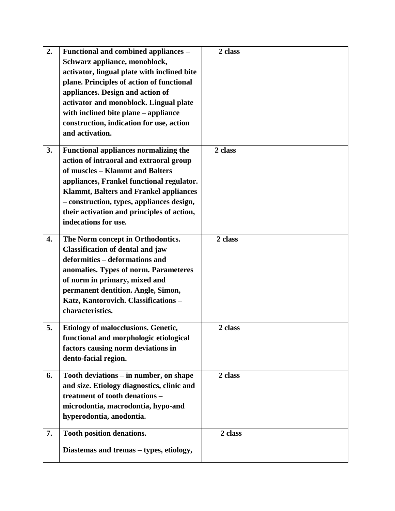| 2. | Functional and combined appliances -<br>Schwarz appliance, monoblock,<br>activator, lingual plate with inclined bite<br>plane. Principles of action of functional<br>appliances. Design and action of<br>activator and monoblock. Lingual plate<br>with inclined bite plane - appliance<br>construction, indication for use, action<br>and activation. | 2 class |  |
|----|--------------------------------------------------------------------------------------------------------------------------------------------------------------------------------------------------------------------------------------------------------------------------------------------------------------------------------------------------------|---------|--|
| 3. | <b>Functional appliances normalizing the</b><br>action of intraoral and extraoral group<br>of muscles - Klammt and Balters<br>appliances, Frankel functional regulator.<br><b>Klammt, Balters and Frankel appliances</b><br>- construction, types, appliances design,<br>their activation and principles of action,<br>indecations for use.            | 2 class |  |
| 4. | The Norm concept in Orthodontics.<br><b>Classification of dental and jaw</b><br>deformities - deformations and<br>anomalies. Types of norm. Parameteres<br>of norm in primary, mixed and<br>permanent dentition. Angle, Simon,<br>Katz, Kantorovich. Classifications -<br>characteristics.                                                             | 2 class |  |
| 5. | <b>Etiology of malocclusions. Genetic,</b><br>functional and morphologic etiological<br>factors causing norm deviations in<br>dento-facial region.                                                                                                                                                                                                     | 2 class |  |
| 6. | Tooth deviations – in number, on shape<br>and size. Etiology diagnostics, clinic and<br>treatment of tooth denations -<br>microdontia, macrodontia, hypo-and<br>hyperodontia, anodontia.                                                                                                                                                               | 2 class |  |
| 7. | Tooth position denations.<br>Diastemas and tremas – types, etiology,                                                                                                                                                                                                                                                                                   | 2 class |  |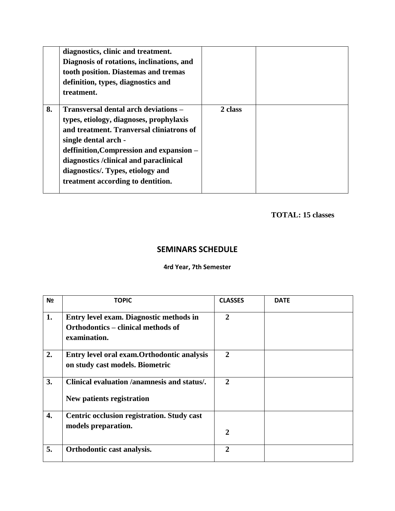|    | diagnostics, clinic and treatment.<br>Diagnosis of rotations, inclinations, and<br>tooth position. Diastemas and tremas<br>definition, types, diagnostics and<br>treatment.                                                                                                                                        |         |  |
|----|--------------------------------------------------------------------------------------------------------------------------------------------------------------------------------------------------------------------------------------------------------------------------------------------------------------------|---------|--|
| 8. | Transversal dental arch deviations -<br>types, etiology, diagnoses, prophylaxis<br>and treatment. Tranversal cliniatrons of<br>single dental arch -<br>deffinition, Compression and expansion -<br>diagnostics/clinical and paraclinical<br>diagnostics/. Types, etiology and<br>treatment according to dentition. | 2 class |  |

# **TOTAL: 15 classes**

### **SEMINARS SCHEDULE**

### **4rd Year, 7th Semester**

| Nº | <b>TOPIC</b>                                                                                  | <b>CLASSES</b> | <b>DATE</b> |
|----|-----------------------------------------------------------------------------------------------|----------------|-------------|
| 1. | Entry level exam. Diagnostic methods in<br>Orthodontics – clinical methods of<br>examination. | $\overline{2}$ |             |
| 2. | Entry level oral exam.Orthodontic analysis<br>on study cast models. Biometric                 | $\overline{2}$ |             |
| 3. | Clinical evaluation /anamnesis and status/.<br>New patients registration                      | $\overline{2}$ |             |
| 4. | Centric occlusion registration. Study cast<br>models preparation.                             | $\overline{2}$ |             |
| 5. | Orthodontic cast analysis.                                                                    | $\mathbf{2}$   |             |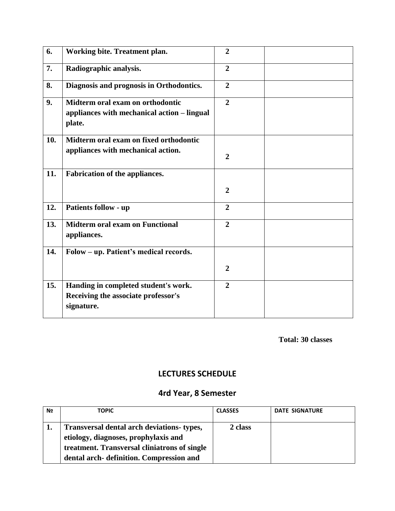| 6.  | Working bite. Treatment plan.                                                             | $\overline{2}$ |  |
|-----|-------------------------------------------------------------------------------------------|----------------|--|
| 7.  | Radiographic analysis.                                                                    | $\overline{2}$ |  |
| 8.  | Diagnosis and prognosis in Orthodontics.                                                  | $\overline{2}$ |  |
| 9.  | Midterm oral exam on orthodontic<br>appliances with mechanical action - lingual<br>plate. | $\overline{2}$ |  |
| 10. | Midterm oral exam on fixed orthodontic<br>appliances with mechanical action.              | $\overline{2}$ |  |
| 11. | Fabrication of the appliances.                                                            | $\overline{2}$ |  |
| 12. | <b>Patients follow - up</b>                                                               | $\overline{2}$ |  |
| 13. | <b>Midterm oral exam on Functional</b><br>appliances.                                     | $\overline{2}$ |  |
| 14. | Folow - up. Patient's medical records.                                                    |                |  |
|     |                                                                                           | $\overline{2}$ |  |
| 15. | Handing in completed student's work.<br>Receiving the associate professor's<br>signature. | $\overline{2}$ |  |

# **LECTURES SCHEDULE**

# **4rd Year, 8 Semester**

| N <sub>2</sub> | <b>TOPIC</b>                                                                                                                                                                          | <b>CLASSES</b> | <b>DATE SIGNATURE</b> |
|----------------|---------------------------------------------------------------------------------------------------------------------------------------------------------------------------------------|----------------|-----------------------|
|                | <b>Transversal dental arch deviations- types,</b><br>etiology, diagnoses, prophylaxis and<br>treatment. Transversal cliniatrons of single<br>dental arch- definition. Compression and | 2 class        |                       |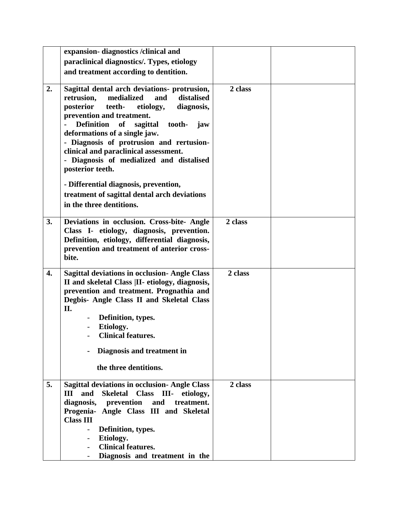|    | expansion-diagnostics/clinical and                                                                                                                                                                                                                  |         |  |
|----|-----------------------------------------------------------------------------------------------------------------------------------------------------------------------------------------------------------------------------------------------------|---------|--|
|    | paraclinical diagnostics/. Types, etiology                                                                                                                                                                                                          |         |  |
|    | and treatment according to dentition.                                                                                                                                                                                                               |         |  |
| 2. | Sagittal dental arch deviations- protrusion,<br>medialized<br>distalised<br>retrusion,<br>and<br>posterior<br>teeth-<br>etiology,<br>diagnosis,                                                                                                     | 2 class |  |
|    | prevention and treatment.<br><b>Definition</b><br>of<br>sagittal<br>tooth-<br>jaw<br>deformations of a single jaw.<br>- Diagnosis of protrusion and rertusion-<br>clinical and paraclinical assessment.<br>- Diagnosis of medialized and distalised |         |  |
|    | posterior teeth.                                                                                                                                                                                                                                    |         |  |
|    | - Differential diagnosis, prevention,                                                                                                                                                                                                               |         |  |
|    | treatment of sagittal dental arch deviations                                                                                                                                                                                                        |         |  |
|    | in the three dentitions.                                                                                                                                                                                                                            |         |  |
| 3. | Deviations in occlusion. Cross-bite- Angle<br>Class I- etiology, diagnosis, prevention.<br>Definition, etiology, differential diagnosis,                                                                                                            | 2 class |  |
|    | prevention and treatment of anterior cross-<br>bite.                                                                                                                                                                                                |         |  |
| 4. | <b>Sagittal deviations in occlusion- Angle Class</b><br>II and skeletal Class  II-etiology, diagnosis,<br>prevention and treatment. Prognathia and<br>Degbis- Angle Class II and Skeletal Class<br>П.                                               | 2 class |  |
|    | Definition, types.                                                                                                                                                                                                                                  |         |  |
|    | Etiology.                                                                                                                                                                                                                                           |         |  |
|    | <b>Clinical features.</b>                                                                                                                                                                                                                           |         |  |
|    | Diagnosis and treatment in                                                                                                                                                                                                                          |         |  |
|    | the three dentitions.                                                                                                                                                                                                                               |         |  |
| 5. | <b>Sagittal deviations in occlusion- Angle Class</b>                                                                                                                                                                                                | 2 class |  |
|    | and<br>Skeletal Class III- etiology,<br>III<br>and<br>treatment.                                                                                                                                                                                    |         |  |
|    | diagnosis, prevention<br>Progenia- Angle Class III and Skeletal                                                                                                                                                                                     |         |  |
|    | <b>Class III</b>                                                                                                                                                                                                                                    |         |  |
|    | Definition, types.<br>$\overline{\phantom{a}}$                                                                                                                                                                                                      |         |  |
|    | Etiology.<br>$\overline{\phantom{0}}$                                                                                                                                                                                                               |         |  |
|    | <b>Clinical features.</b><br>$\overline{\phantom{a}}$                                                                                                                                                                                               |         |  |
|    | Diagnosis and treatment in the                                                                                                                                                                                                                      |         |  |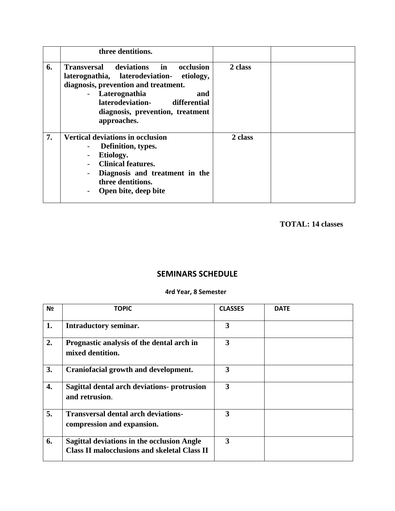|    | three dentitions.                                                                                                                                                                                                                                   |         |  |
|----|-----------------------------------------------------------------------------------------------------------------------------------------------------------------------------------------------------------------------------------------------------|---------|--|
| 6. | <b>Transversal deviations in</b><br>occlusion<br>laterognathia, laterodeviation- etiology,<br>diagnosis, prevention and treatment.<br>- Laterognathia<br>and<br>laterodeviation-<br>differential<br>diagnosis, prevention, treatment<br>approaches. | 2 class |  |
| 7. | <b>Vertical deviations in occlusion</b><br>Definition, types.<br>Etiology.<br><b>Clinical features.</b><br>Diagnosis and treatment in the<br>three dentitions.<br>Open bite, deep bite                                                              | 2 class |  |

 **TOTAL: 14 classes**

# **SEMINARS SCHEDULE**

### **4rd Year, 8 Semester**

| N <sub>2</sub> | <b>TOPIC</b>                                                                                             | <b>CLASSES</b>          | <b>DATE</b> |
|----------------|----------------------------------------------------------------------------------------------------------|-------------------------|-------------|
| 1.             | <b>Intraductory seminar.</b>                                                                             | 3                       |             |
| 2.             | Prognastic analysis of the dental arch in<br>mixed dentition.                                            | 3                       |             |
| 3.             | Craniofacial growth and development.                                                                     | 3                       |             |
| 4.             | Sagittal dental arch deviations- protrusion<br>and retrusion.                                            | $\overline{\mathbf{3}}$ |             |
| 5.             | <b>Transversal dental arch deviations-</b><br>compression and expansion.                                 | 3                       |             |
| 6.             | <b>Sagittal deviations in the occlusion Angle</b><br><b>Class II malocclusions and skeletal Class II</b> | 3                       |             |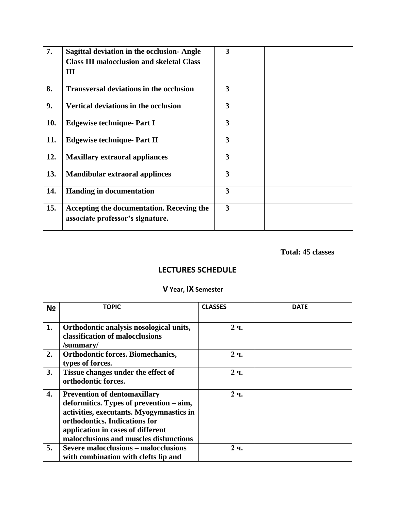| 7.  | <b>Sagittal deviation in the occlusion-Angle</b><br><b>Class III malocclusion and skeletal Class</b><br>Ш | 3 |  |
|-----|-----------------------------------------------------------------------------------------------------------|---|--|
| 8.  | <b>Transversal deviations in the occlusion</b>                                                            | 3 |  |
| 9.  | Vertical deviations in the occlusion                                                                      | 3 |  |
| 10. | <b>Edgewise technique- Part I</b>                                                                         | 3 |  |
| 11. | <b>Edgewise technique- Part II</b>                                                                        | 3 |  |
| 12. | <b>Maxillary extraoral appliances</b>                                                                     | 3 |  |
| 13. | <b>Mandibular extraoral applinces</b>                                                                     | 3 |  |
| 14. | <b>Handing in documentation</b>                                                                           | 3 |  |
| 15. | Accepting the documentation. Receving the<br>associate professor's signature.                             | 3 |  |

### **Total: 45 classes**

# **LECTURES SCHEDULE**

### **V Year, ІХ Semester**

| N <sub>2</sub> | <b>TOPIC</b>                                                                                                                                                                                                                               | <b>CLASSES</b> | <b>DATE</b> |
|----------------|--------------------------------------------------------------------------------------------------------------------------------------------------------------------------------------------------------------------------------------------|----------------|-------------|
| 1.             | Orthodontic analysis nosological units,<br>classification of malocclusions<br>/summary/                                                                                                                                                    | 2 <sub>4</sub> |             |
| 2.             | <b>Orthodontic forces. Biomechanics,</b><br>types of forces.                                                                                                                                                                               | 2 <sub>4</sub> |             |
| 3.             | Tissue changes under the effect of<br>orthodontic forces.                                                                                                                                                                                  | 2 <sub>4</sub> |             |
| 4.             | <b>Prevention of dentomaxillary</b><br>deformitics. Types of prevention – aim,<br>activities, executants. Myogymnastics in<br>orthodontics. Indications for<br>application in cases of different<br>malocclusions and muscles disfunctions | 2 <sub>4</sub> |             |
| 5.             | <b>Severe malocclusions – malocclusions</b><br>with combination with clefts lip and                                                                                                                                                        | 2 <sub>4</sub> |             |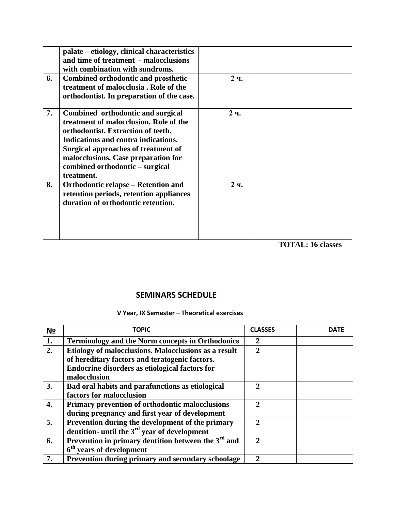|    | palate – etiology, clinical characteristics<br>and time of treatment - malocclusions<br>with combination with sundroms.                                                                                                                                                                        |                |  |
|----|------------------------------------------------------------------------------------------------------------------------------------------------------------------------------------------------------------------------------------------------------------------------------------------------|----------------|--|
| 6. | <b>Combined orthodontic and prosthetic</b><br>treatment of malocclusia. Role of the<br>orthodontist. In preparation of the case.                                                                                                                                                               | 2 <sub>4</sub> |  |
| 7. | Combined orthodontic and surgical<br>treatment of malocclusion. Role of the<br>orthodontist. Extraction of teeth.<br>Indications and contra indications.<br><b>Surgical approaches of treatment of</b><br>malocclusions. Case preparation for<br>combined orthodontic – surgical<br>treatment. | 2 <sub>4</sub> |  |
| 8. | Orthodontic relapse – Retention and<br>retention periods, retention appliances<br>duration of orthodontic retention.                                                                                                                                                                           | 2 <sub>4</sub> |  |

 **TOTAL: 16 classes**

## **SEMINARS SCHEDULE**

### **V Year, ІХ Semester – Theoretical exercises**

| N <sub>2</sub> | <b>TOPIC</b>                                                                                                                                                             | <b>CLASSES</b> | <b>DATE</b> |
|----------------|--------------------------------------------------------------------------------------------------------------------------------------------------------------------------|----------------|-------------|
| 1.             | <b>Terminology and the Norm concepts in Orthodonics</b>                                                                                                                  | $\mathbf{2}$   |             |
| 2.             | Etiology of malocclusions. Malocclusions as a result<br>of hereditary factors and teratogenic factors.<br>Endocrine disorders as etiological factors for<br>malocclusion | $\overline{2}$ |             |
| 3.             | Bad oral habits and parafunctions as etiological<br>factors for malocclusion                                                                                             | $\mathbf{2}$   |             |
| 4.             | Primary prevention of orthodontic malocclusions<br>during pregnancy and first year of development                                                                        | $\mathbf{2}$   |             |
| 5.             | Prevention during the development of the primary<br>dentition- until the $3^{rd}$ year of development                                                                    | $\mathbf{2}$   |             |
| 6.             | Prevention in primary dentition between the $3^{rd}$ and<br>6 <sup>th</sup> years of development                                                                         | $\mathbf{2}$   |             |
| 7.             | Prevention during primary and secondary schoolage                                                                                                                        | $\mathbf{2}$   |             |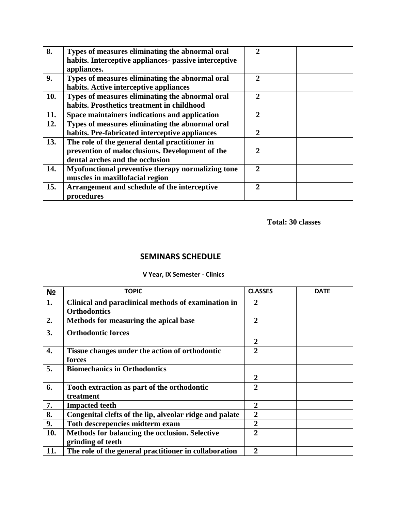| 8.  | Types of measures eliminating the abnormal oral<br>habits. Interceptive appliances- passive interceptive<br>appliances.              | $\mathcal{D}_{\cdot}$       |  |
|-----|--------------------------------------------------------------------------------------------------------------------------------------|-----------------------------|--|
| 9.  | Types of measures eliminating the abnormal oral<br>habits. Active interceptive appliances                                            | $\mathbf{2}$                |  |
| 10. | Types of measures eliminating the abnormal oral<br>habits. Prosthetics treatment in childhood                                        | $\mathcal{D}_{\mathcal{L}}$ |  |
| 11. | Space maintainers indications and application                                                                                        | $\mathbf{2}$                |  |
| 12. | Types of measures eliminating the abnormal oral<br>habits. Pre-fabricated interceptive appliances                                    | 2                           |  |
| 13. | The role of the general dental practitioner in<br>prevention of malocclusions. Development of the<br>dental arches and the occlusion | 2                           |  |
| 14. | Myofunctional preventive therapy normalizing tone<br>muscles in maxillofacial region                                                 | $\mathcal{D}$               |  |
| 15. | Arrangement and schedule of the interceptive<br>procedures                                                                           | 2                           |  |

### **SEMINARS SCHEDULE**

### **V Year, ІХ Semester - Clinics**

| N <sub>2</sub> | <b>TOPIC</b>                                                               | <b>CLASSES</b> | <b>DATE</b> |
|----------------|----------------------------------------------------------------------------|----------------|-------------|
| 1.             | Clinical and paraclinical methods of examination in<br><b>Orthodontics</b> | 2              |             |
| 2.             | Methods for measuring the apical base                                      | $\overline{2}$ |             |
| 3.             | <b>Orthodontic forces</b>                                                  | 2              |             |
| 4.             | Tissue changes under the action of orthodontic<br>forces                   | $\mathbf{2}$   |             |
| 5.             | <b>Biomechanics in Orthodontics</b>                                        | $\overline{2}$ |             |
| 6.             | Tooth extraction as part of the orthodontic<br>treatment                   | $\overline{2}$ |             |
| 7.             | <b>Impacted teeth</b>                                                      | $\overline{2}$ |             |
| 8.             | Congenital clefts of the lip, alveolar ridge and palate                    | $\overline{2}$ |             |
| 9.             | Toth descrepencies midterm exam                                            | $\overline{2}$ |             |
| 10.            | Methods for balancing the occlusion. Selective<br>grinding of teeth        | $\mathbf{2}$   |             |
| 11.            | The role of the general practitioner in collaboration                      | $\overline{2}$ |             |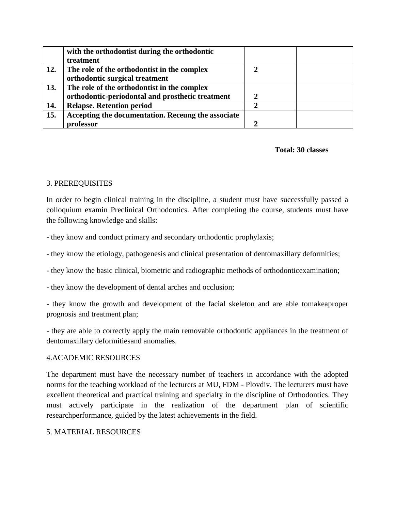|     | with the orthodontist during the orthodontic       |              |  |
|-----|----------------------------------------------------|--------------|--|
|     | treatment                                          |              |  |
| 12. | The role of the orthodontist in the complex        |              |  |
|     | orthodontic surgical treatment                     |              |  |
| 13. | The role of the orthodontist in the complex        |              |  |
|     | orthodontic-periodontal and prosthetic treatment   | $\mathbf{2}$ |  |
| 14. | <b>Relapse. Retention period</b>                   |              |  |
| 15. | Accepting the documentation. Receung the associate |              |  |
|     | rofessor                                           |              |  |

### 3. PREREQUISITES

In order to begin clinical training in the discipline, a student must have successfully passed a colloquium examin Preclinical Orthodontics. After completing the course, students must have the following knowledge and skills:

- they know and conduct primary and secondary orthodontic prophylaxis;

- they know the etiology, pathogenesis and clinical presentation of dentomaxillary deformities;

- they know the basic clinical, biometric and radiographic methods of orthodonticexamination;

- they know the development of dental arches and occlusion;

- they know the growth and development of the facial skeleton and are able tomakeaproper prognosis and treatment plan;

- they are able to correctly apply the main removable orthodontic appliances in the treatment of dentomaxillary deformitiesand anomalies.

### 4.ACADEMIC RESOURCES

The department must have the necessary number of teachers in accordance with the adopted norms for the teaching workload of the lecturers at MU, FDM - Plovdiv. The lecturers must have excellent theoretical and practical training and specialty in the discipline of Orthodontics. They must actively participate in the realization of the department plan of scientific researchperformance, guided by the latest achievements in the field.

### 5. MATERIAL RESOURCES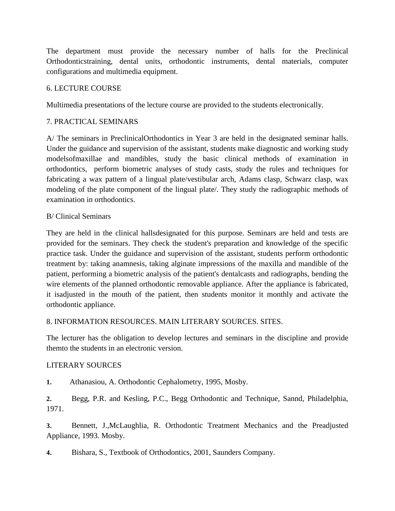The department must provide the necessary number of halls for the Preclinical Orthodonticstraining, dental units, orthodontic instruments, dental materials, computer configurations and multimedia equipment.

### 6. LECTURE COURSE

Multimedia presentations of the lecture course are provided to the students electronically.

### 7. PRACTICAL SEMINARS

A/ The seminars in PreclinicalOrthodontics in Year 3 are held in the designated seminar halls. Under the guidance and supervision of the assistant, students make diagnostic and working study modelsofmaxillae and mandibles, study the basic clinical methods of examination in orthodontics, perform biometric analyses of study casts, study the rules and techniques for fabricating a wax pattern of a lingual plate/vestibular arch, Adams clasp, Schwarz clasp, wax modeling of the plate component of the lingual plate/. They study the radiographic methods of examination in orthodontics.

### B/ Clinical Seminars

They are held in the clinical hallsdesignated for this purpose. Seminars are held and tests are provided for the seminars. They check the student's preparation and knowledge of the specific practice task. Under the guidance and supervision of the assistant, students perform orthodontic treatment by: taking anamnesis, taking alginate impressions of the maxilla and mandible of the patient, performing a biometric analysis of the patient's dentalcasts and radiographs, bending the wire elements of the planned orthodontic removable appliance. After the appliance is fabricated, it isadjusted in the mouth of the patient, then students monitor it monthly and activate the orthodontic appliance.

### 8. INFORMATION RESOURCES. MAIN LITERARY SOURCES. SITES.

The lecturer has the obligation to develop lectures and seminars in the discipline and provide themto the students in an electronic version.

### LITERARY SOURCES

**1.** Athanasiou, A. Orthodontic Cephalometry, 1995, Mosby.

**2.** Begg, P.R. and Kesling, P.C., Begg Orthodontic and Technique, Sannd, Philadelphia, 1971.

**3.** Bennett, J.,McLaughlia, R. Orthodontic Treatment Mechanics and the Preadjusted Appliance, 1993. Mosby.

**4.** Bishara, S., Textbook of Orthodontics, 2001, Saunders Company.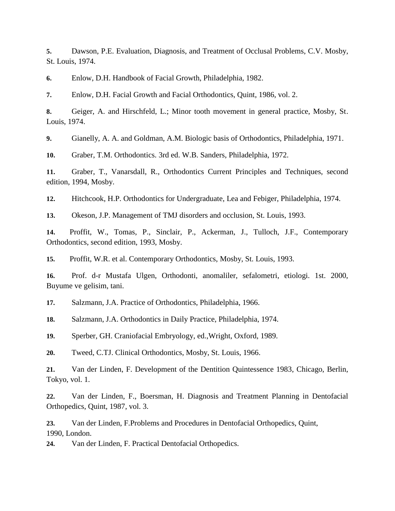**5.** Dawson, P.E. Evaluation, Diagnosis, and Treatment of Occlusal Problems, C.V. Mosby, St. Louis, 1974.

**6.** Enlow, D.H. Handbook of Facial Growth, Philadelphia, 1982.

**7.** Enlow, D.H. Facial Growth and Facial Orthodontics, Quint, 1986, vol. 2.

**8.** Geiger, A. and Hirschfeld, L.; Minor tooth movement in general practice, Mosby, St. Louis, 1974.

**9.** Gianelly, A. A. and Goldman, A.M. Biologic basis of Orthodontics, Philadelphia, 1971.

**10.** Graber, T.M. Orthodontics. 3rd ed. W.B. Sanders, Philadelphia, 1972.

**11.** Graber, T., Vanarsdall, R., Orthodontics Current Principles and Techniques, second edition, 1994, Mosby.

**12.** Hitchcook, H.P. Orthodontics for Undergraduate, Lea and Febiger, Philadelphia, 1974.

**13.** Okeson, J.P. Management of TMJ disorders and occlusion, St. Louis, 1993.

**14.** Proffit, W., Tomas, P., Sinclair, P., Ackerman, J., Tulloch, J.F., Contemporary Orthodontics, second edition, 1993, Mosby.

**15.** Proffit, W.R. et al. Contemporary Orthodontics, Mosby, St. Louis, 1993.

**16.** Prof. d-r Mustafa Ulgen, Orthodonti, anomaliler, sefalometri, etiologi. 1st. 2000, Buyume ve gelisim, tani.

**17.** Salzmann, J.A. Practice of Orthodontics, Philadelphia, 1966.

**18.** Salzmann, J.A. Orthodontics in Daily Practice, Philadelphia, 1974.

**19.** Sperber, GH. Craniofacial Embryology, ed.,Wright, Oxford, 1989.

**20.** Tweed, C.TJ. Clinical Orthodontics, Mosby, St. Louis, 1966.

**21.** Van der Linden, F. Development of the Dentition Quintessence 1983, Chicago, Berlin, Tokyo, vol. 1.

**22.** Van der Linden, F., Boersman, H. Diagnosis and Treatment Planning in Dentofacial Orthopedics, Quint, 1987, vol. 3.

**23.** Van der Linden, F.Problems and Procedures in Dentofacial Orthopedics, Quint, 1990, London.

**24.** Van der Linden, F. Practical Dentofacial Orthopedics.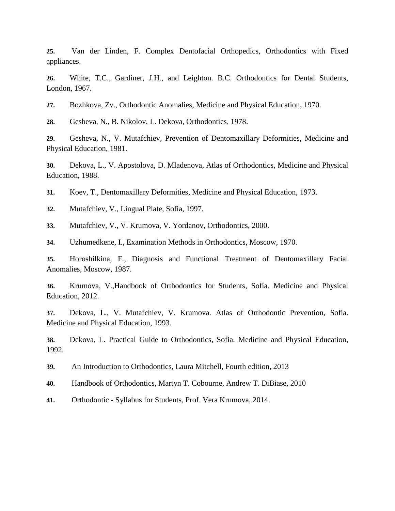**25.** Van der Linden, F. Complex Dentofacial Orthopedics, Orthodontics with Fixed appliances.

**26.** White, T.C., Gardiner, J.H., and Leighton. B.C. Orthodontics for Dental Students, London, 1967.

**27.** Bozhkova, Zv., Orthodontic Anomalies, Medicine and Physical Education, 1970.

**28.** Gesheva, N., B. Nikolov, L. Dekova, Orthodontics, 1978.

**29.** Gesheva, N., V. Mutafchiev, Prevention of Dentomaxillary Deformities, Medicine and Physical Education, 1981.

**30.** Dekova, L., V. Apostolova, D. Mladenova, Atlas of Orthodontics, Medicine and Physical Education, 1988.

**31.** Koev, T., Dentomaxillary Deformities, Medicine and Physical Education, 1973.

**32.** Mutafchiev, V., Lingual Plate, Sofia, 1997.

**33.** Mutafchiev, V., V. Krumova, V. Yordanov, Orthodontics, 2000.

**34.** Uzhumedkene, I., Examination Methods in Orthodontics, Moscow, 1970.

**35.** Horoshilkina, F., Diagnosis and Functional Treatment of Dentomaxillary Facial Anomalies, Moscow, 1987.

**36.** Krumova, V.,Handbook of Orthodontics for Students, Sofia. Medicine and Physical Education, 2012.

**37.** Dekova, L., V. Mutafchiev, V. Krumova. Atlas of Orthodontic Prevention, Sofia. Medicine and Physical Education, 1993.

**38.** Dekova, L. Practical Guide to Orthodontics, Sofia. Medicine and Physical Education, 1992.

**39.** An Introduction to Orthodontics, Laura Mitchell, Fourth edition, 2013

**40.** Handbook of Orthodontics, Martyn T. Cobourne, Andrew T. DiBiase, 2010

**41.** Orthodontic - Syllabus for Students, Prof. Vera Krumova, 2014.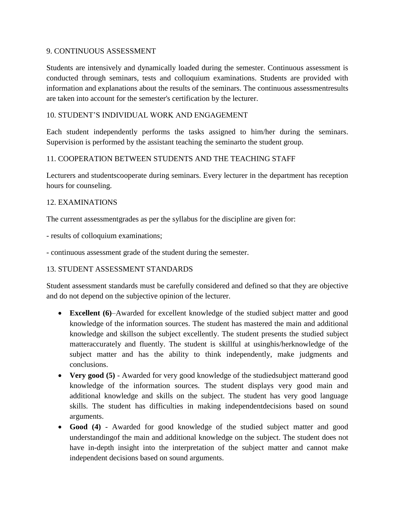### 9. CONTINUOUS ASSESSMENT

Students are intensively and dynamically loaded during the semester. Continuous assessment is conducted through seminars, tests and colloquium examinations. Students are provided with information and explanations about the results of the seminars. The continuous assessmentresults are taken into account for the semester's certification by the lecturer.

### 10. STUDENT'S INDIVIDUAL WORK AND ENGAGEMENT

Each student independently performs the tasks assigned to him/her during the seminars. Supervision is performed by the assistant teaching the seminarto the student group.

### 11. COOPERATION BETWEEN STUDENTS AND THE TEACHING STAFF

Lecturers and studentscooperate during seminars. Every lecturer in the department has reception hours for counseling.

### 12. EXAMINATIONS

The current assessmentgrades as per the syllabus for the discipline are given for:

- results of colloquium examinations;

- continuous assessment grade of the student during the semester.

#### 13. STUDENT ASSESSMENT STANDARDS

Student assessment standards must be carefully considered and defined so that they are objective and do not depend on the subjective opinion of the lecturer.

- **Excellent (6)**–Awarded for excellent knowledge of the studied subject matter and good knowledge of the information sources. The student has mastered the main and additional knowledge and skillson the subject excellently. The student presents the studied subject matteraccurately and fluently. The student is skillful at usinghis/herknowledge of the subject matter and has the ability to think independently, make judgments and conclusions.
- **Very good (5)** Awarded for very good knowledge of the studiedsubject matterand good knowledge of the information sources. The student displays very good main and additional knowledge and skills on the subject. The student has very good language skills. The student has difficulties in making independentdecisions based on sound arguments.
- **Good (4)** Awarded for good knowledge of the studied subject matter and good understandingof the main and additional knowledge on the subject. The student does not have in-depth insight into the interpretation of the subject matter and cannot make independent decisions based on sound arguments.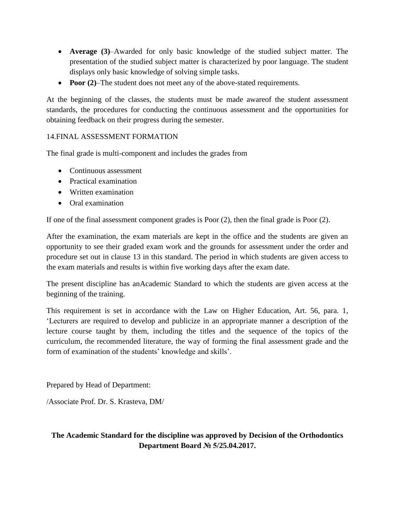- **Average (3)**–Awarded for only basic knowledge of the studied subject matter. The presentation of the studied subject matter is characterized by poor language. The student displays only basic knowledge of solving simple tasks.
- **Poor (2)–The student does not meet any of the above-stated requirements.**

At the beginning of the classes, the students must be made awareof the student assessment standards, the procedures for conducting the continuous assessment and the opportunities for obtaining feedback on their progress during the semester.

### 14.FINAL ASSESSMENT FORMATION

The final grade is multi-component and includes the grades from

- Continuous assessment
- Practical examination
- Written examination
- Oral examination

If one of the final assessment component grades is Poor (2), then the final grade is Poor (2).

After the examination, the exam materials are kept in the office and the students are given an opportunity to see their graded exam work and the grounds for assessment under the order and procedure set out in clause 13 in this standard. The period in which students are given access to the exam materials and results is within five working days after the exam date.

The present discipline has anAcademic Standard to which the students are given access at the beginning of the training.

This requirement is set in accordance with the Law on Higher Education, Art. 56, para. 1, 'Lecturers are required to develop and publicize in an appropriate manner a description of the lecture course taught by them, including the titles and the sequence of the topics of the curriculum, the recommended literature, the way of forming the final assessment grade and the form of examination of the students' knowledge and skills'.

Prepared by Head of Department:

/Associate Prof. Dr. S. Krasteva, DM/

### **The Academic Standard for the discipline was approved by Decision of the Orthodontics Department Board № 5/25.04.2017.**